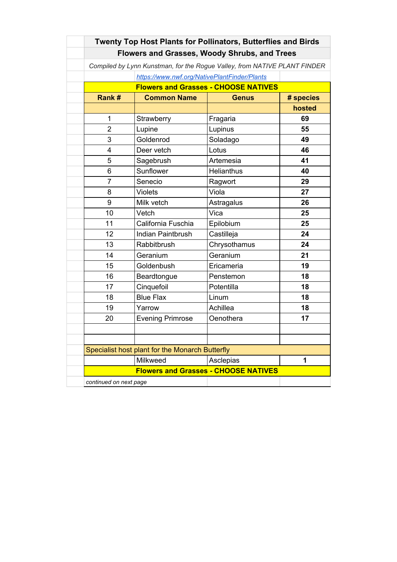| Twenty Top Host Plants for Pollinators, Butterflies and Birds             |                          |                   |           |  |  |  |
|---------------------------------------------------------------------------|--------------------------|-------------------|-----------|--|--|--|
| <b>Flowers and Grasses, Woody Shrubs, and Trees</b>                       |                          |                   |           |  |  |  |
| Compiled by Lynn Kunstman, for the Rogue Valley, from NATIVE PLANT FINDER |                          |                   |           |  |  |  |
| https://www.nwf.org/NativePlantFinder/Plants                              |                          |                   |           |  |  |  |
| <b>Flowers and Grasses - CHOOSE NATIVES</b>                               |                          |                   |           |  |  |  |
| Rank#                                                                     | <b>Common Name</b>       | <b>Genus</b>      | # species |  |  |  |
|                                                                           |                          |                   | hosted    |  |  |  |
| 1                                                                         | Strawberry               | Fragaria          | 69        |  |  |  |
| $\overline{2}$                                                            | Lupine                   | Lupinus           | 55        |  |  |  |
| 3                                                                         | Goldenrod                | Soladago          | 49        |  |  |  |
| $\overline{4}$                                                            | Deer vetch               | Lotus             | 46        |  |  |  |
| 5                                                                         | Sagebrush                | Artemesia         | 41        |  |  |  |
| 6                                                                         | Sunflower                | <b>Helianthus</b> | 40        |  |  |  |
| $\overline{7}$                                                            | Senecio                  | Ragwort           | 29        |  |  |  |
| 8                                                                         | <b>Violets</b>           | Viola             | 27        |  |  |  |
| 9                                                                         | Milk vetch               | Astragalus        | 26        |  |  |  |
| 10                                                                        | Vetch                    | Vica              | 25        |  |  |  |
| 11                                                                        | California Fuschia       | Epilobium         | 25        |  |  |  |
| 12                                                                        | <b>Indian Paintbrush</b> | Castilleja        | 24        |  |  |  |
| 13                                                                        | Rabbitbrush              | Chrysothamus      | 24        |  |  |  |
| 14                                                                        | Geranium                 | Geranium          | 21        |  |  |  |
| 15                                                                        | Goldenbush               | Ericameria        | 19        |  |  |  |
| 16                                                                        | Beardtongue              | Penstemon         | 18        |  |  |  |
| 17                                                                        | Cinquefoil               | Potentilla        | 18        |  |  |  |
| 18                                                                        | <b>Blue Flax</b>         | Linum             | 18        |  |  |  |
| 19                                                                        | Yarrow                   | Achillea          | 18        |  |  |  |
| 20                                                                        | <b>Evening Primrose</b>  | Oenothera         | 17        |  |  |  |
|                                                                           |                          |                   |           |  |  |  |
|                                                                           |                          |                   |           |  |  |  |
| Specialist host plant for the Monarch Butterfly                           |                          |                   |           |  |  |  |
|                                                                           | Milkweed                 | Asclepias         | 1         |  |  |  |
| <b>Flowers and Grasses - CHOOSE NATIVES</b>                               |                          |                   |           |  |  |  |
| continued on next page                                                    |                          |                   |           |  |  |  |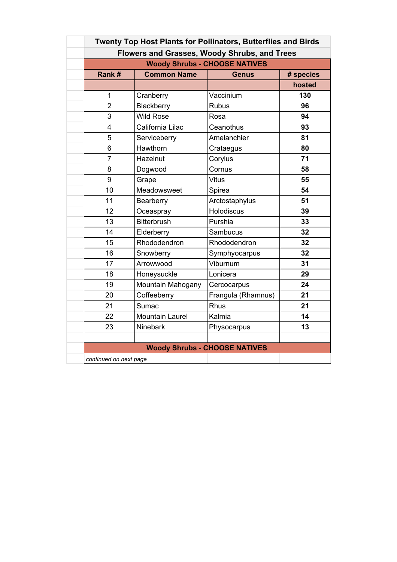| <b>Twenty Top Host Plants for Pollinators, Butterflies and Birds</b> |                        |                                      |           |  |  |  |
|----------------------------------------------------------------------|------------------------|--------------------------------------|-----------|--|--|--|
| Flowers and Grasses, Woody Shrubs, and Trees                         |                        |                                      |           |  |  |  |
| <b>Woody Shrubs - CHOOSE NATIVES</b>                                 |                        |                                      |           |  |  |  |
| Rank#                                                                | <b>Common Name</b>     | <b>Genus</b>                         | # species |  |  |  |
|                                                                      |                        |                                      | hosted    |  |  |  |
| 1                                                                    | Cranberry              | Vaccinium                            | 130       |  |  |  |
| $\overline{2}$                                                       | Blackberry             | <b>Rubus</b>                         | 96        |  |  |  |
| 3                                                                    | <b>Wild Rose</b>       | Rosa                                 | 94        |  |  |  |
| $\overline{4}$                                                       | California Lilac       | Ceanothus                            | 93        |  |  |  |
| 5                                                                    | Serviceberry           | Amelanchier                          | 81        |  |  |  |
| 6                                                                    | Hawthorn               | Crataegus                            | 80        |  |  |  |
| $\overline{7}$                                                       | Hazelnut               | Corylus                              | 71        |  |  |  |
| 8                                                                    | Dogwood                | Cornus                               | 58        |  |  |  |
| 9                                                                    | Grape                  | <b>Vitus</b>                         | 55        |  |  |  |
| 10                                                                   | Meadowsweet            | Spirea                               | 54        |  |  |  |
| 11                                                                   | Bearberry              | Arctostaphylus                       | 51        |  |  |  |
| 12                                                                   | Oceaspray              | <b>Holodiscus</b>                    | 39        |  |  |  |
| 13                                                                   | <b>Bitterbrush</b>     | Purshia                              | 33        |  |  |  |
| 14                                                                   | Elderberry             | Sambucus                             | 32        |  |  |  |
| 15                                                                   | Rhododendron           | Rhododendron                         | 32        |  |  |  |
| 16                                                                   | Snowberry              | Symphyocarpus                        | 32        |  |  |  |
| 17                                                                   | Arrowwood              | Viburnum                             | 31        |  |  |  |
| 18                                                                   | Honeysuckle            | Lonicera                             | 29        |  |  |  |
| 19                                                                   | Mountain Mahogany      | Cercocarpus                          | 24        |  |  |  |
| 20                                                                   | Coffeeberry            | Frangula (Rhamnus)                   | 21        |  |  |  |
| 21                                                                   | Sumac                  | Rhus                                 | 21        |  |  |  |
| 22                                                                   | <b>Mountain Laurel</b> | Kalmia                               | 14        |  |  |  |
| 23                                                                   | <b>Ninebark</b>        | Physocarpus                          | 13        |  |  |  |
|                                                                      |                        |                                      |           |  |  |  |
|                                                                      |                        | <b>Woody Shrubs - CHOOSE NATIVES</b> |           |  |  |  |
| continued on next page                                               |                        |                                      |           |  |  |  |